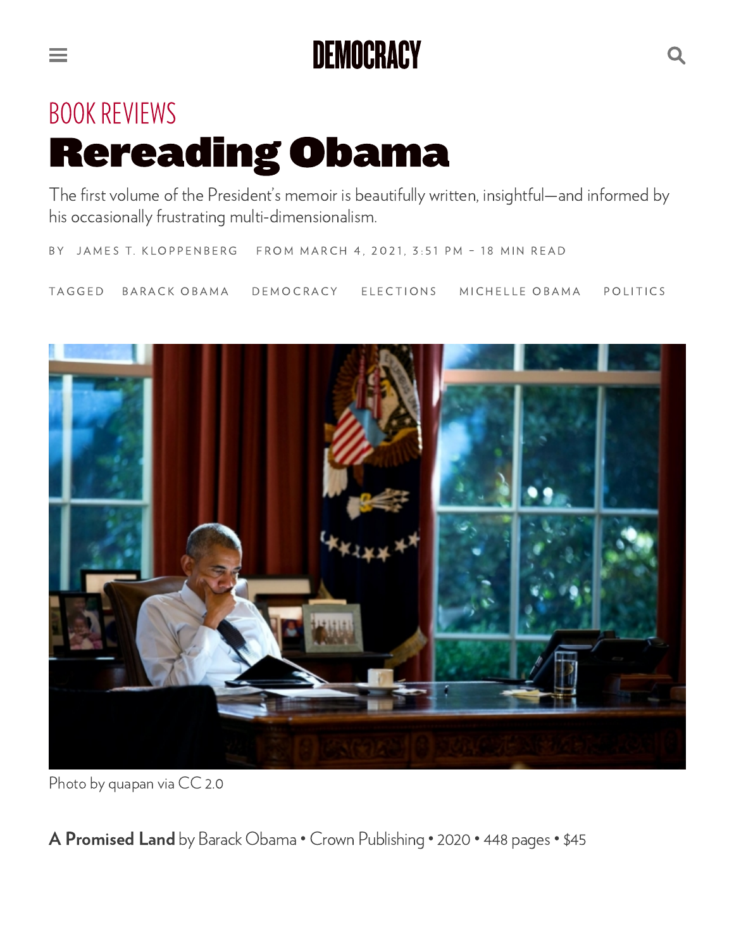## DEMOCRACY

## **BOOK REVIEWS** Rereading Obama

e e

The first volume of the President's memoir is beautifully written, insightful—and informed by his occasionally frustrating multi-dimensionalism.

**BY** JAMES T. K[LO](https://democracyjournal.org/author/jtkloppenberg/)PPENBERG FROM MARCH 4, 2021, 3:51 PM - 18 MIN READ

TA G GED BARACK OBA[M](https://democracyjournal.org/tag/barack-obama/)A D[E](https://democracyjournal.org/tag/democracy/)MOCRACY ELECTIO[N](https://democracyjournal.org/tag/elections/)S MIC[H](https://democracyjournal.org/tag/michelle-obama/)ELLE-[O](https://democracyjournal.org/tag/politics/)BAMA POLITICS



Photo by [quapan](https://www.flickr.com/photos/9361468@N05/31901910102) via [CC](https://creativecommons.org/licenses/by/2.0/legalcode) 2.0

A [Promised](https://obamabook.com/) Land by Barack Obama • Crown Publishing • 2020 • 448 pages• \$45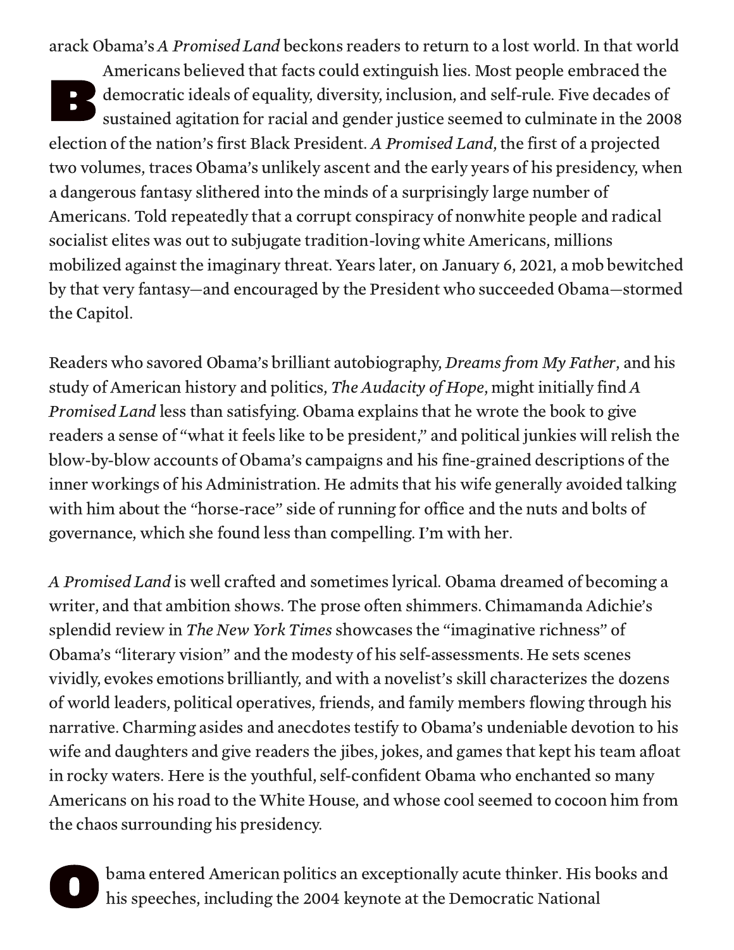B arack Obama's A Promised Land beckons readers to return to a lost world. In that world Americans believed that facts could extinguish lies. Most people embraced the democratic ideals of equality, diversity, inclusion, and self-rule. Five decades of sustained agitation for racial and gender justice seemed to culminate in the 2008 election of the nation's first Black President. A Promised Land, the first of a projected two volumes, traces Obama's unlikely ascent and the early years of his presidency, when a dangerous fantasy slithered into the minds of a surprisingly large number of Americans. Told repeatedly that a corrupt conspiracy of nonwhite people and radical socialist elites was out to subjugate tradition-loving white Americans, millions mobilized against the imaginary threat. Years later, on January 6, 2021, a mob bewitched by that very fantasy—and encouraged by the President who succeeded Obama—stormed the Capitol.

Readers who savored Obama's brilliant autobiography, Dreams from My Father, and his study of American history and politics, The Audacity of Hope, might initially find A Promised Land less than satisfying. Obama explains that he wrote the book to give readers a sense of "what it feels like to be president," and political junkies will relish the blow-by-blow accounts of Obama's campaigns and his fine-grained descriptions of the inner workings of his Administration. He admits that his wife generally avoided talking with him about the "horse-race" side of running for office and the nuts and bolts of governance, which she found less than compelling. I'm with her.

A Promised Land is well crafted and sometimes lyrical. Obama dreamed of becoming a writer, and that ambition shows. The prose often shimmers. Chimamanda Adichie's splendid review in The New York Times showcases the "imaginative richness" of Obama's "literary vision" and the modesty of his self-assessments. He sets scenes vividly, evokes emotions brilliantly, and with a novelist's skill characterizes the dozens of world leaders, political operatives, friends, and family members flowing through his narrative. Charming asides and anecdotes testify to Obama's undeniable devotion to his wife and daughters and give readers the jibes, jokes, and games that kept his team afloat in rocky waters. Here is the youthful, self-confident Obama who enchanted so many Americans on his road to the White House, and whose cool seemed to cocoon him from the chaos surrounding his presidency.

**O** h bama entered American politics an exceptionally acute thinker. His books and his speeches, including the 2004 keynote at the Democratic National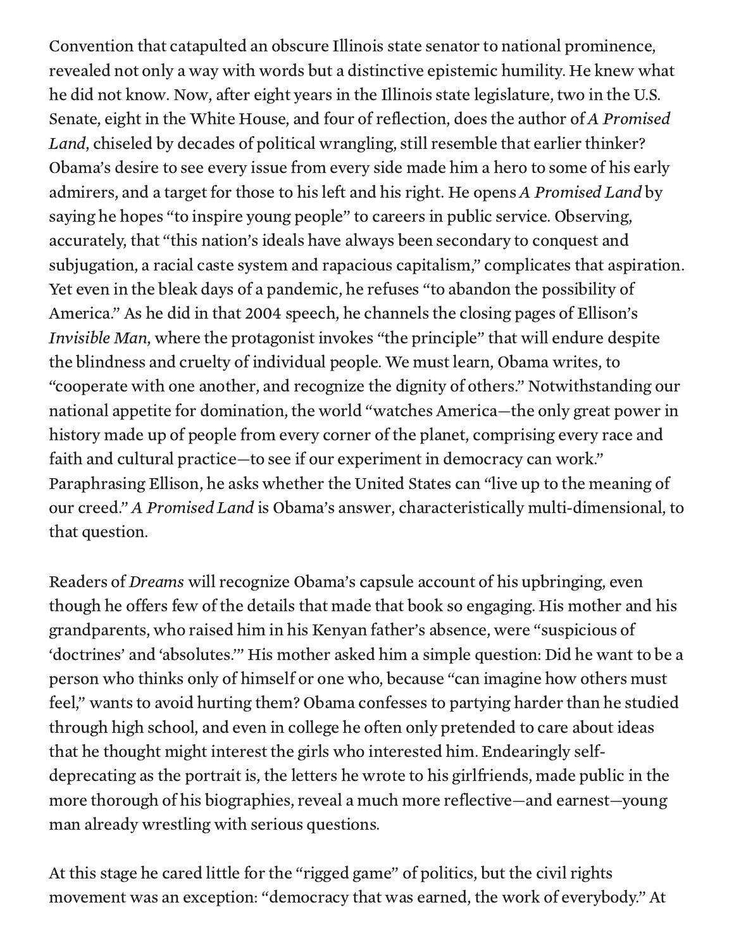Convention that catapulted an obscure Illinois state senator to national prominence, revealed not only a way with words but a distinctive epistemic humility. He knew what he did not know. Now, after eight years in the Illinois state legislature, two in the U.S. Senate, eight in the White House, and four of reflection, does the author of A Promised Land, chiseled by decades of political wrangling, still resemble that earlier thinker? Obama's desire to see every issue from every side made him a hero to some of his early admirers, and a target for those to his left and his right. He opens A Promised Land by saying he hopes "to inspire young people" to careers in public service. Observing, accurately, that "this nation's ideals have always been secondary to conquest and subjugation, a racial caste system and rapacious capitalism," complicates that aspiration. Yet even in the bleak days of a pandemic, he refuses "to abandon the possibility of America." As he did in that 2004 speech, he channels the closing pages of Ellison's Invisible Man, where the protagonist invokes "the principle" that will endure despite the blindness and cruelty of individual people. We must learn, Obama writes, to "cooperate with one another, and recognize the dignity of others." Notwithstanding our national appetite for domination, the world "watches America—the only great power in history made up of people from every corner of the planet, comprising every race and faith and cultural practice—to see if our experiment in democracy can work." Paraphrasing Ellison, he asks whether the United States can "live up to the meaning of our creed." A Promised Land is Obama's answer, characteristically multi-dimensional, to that question.

Readers of Dreams will recognize Obama's capsule account of his upbringing, even though he offers few of the details that made that book so engaging. His mother and his grandparents, who raised him in his Kenyan father's absence, were "suspicious of 'doctrines' and 'absolutes.'" His mother asked him a simple question: Did he want to be a person who thinks only of himself or one who, because "can imagine how others must feel," wants to avoid hurting them? Obama confesses to partying harder than he studied through high school, and even in college he often only pretended to care about ideas that he thought might interest the girls who interested him. Endearingly selfdeprecating as the portrait is, the letters he wrote to his girlfriends, made public in the more thorough of his biographies, reveal a much more reflective—and earnest—young man already wrestling with serious questions.

At this stage he cared little for the "rigged game" of politics, but the civil rights movement was an exception: "democracy that was earned, the work of everybody." At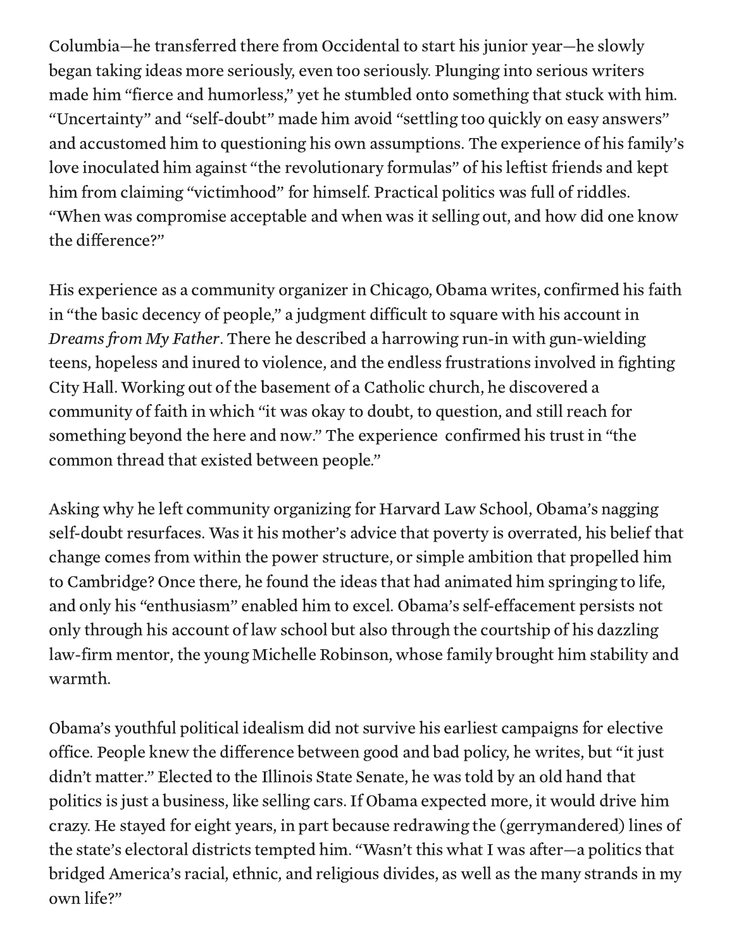Columbia—he transferred there from Occidental to start his junior year—he slowly began taking ideas more seriously, even too seriously. Plunging into serious writers made him "fierce and humorless," yet he stumbled onto something that stuck with him. "Uncertainty" and "self-doubt" made him avoid "settling too quickly on easy answers" and accustomed him to questioning his own assumptions. The experience of his family's love inoculated him against "the revolutionary formulas" of his leftist friends and kept him from claiming "victimhood" for himself. Practical politics was full of riddles. "When was compromise acceptable and when was it selling out, and how did one know the difference?"

His experience as a community organizer in Chicago, Obama writes, confirmed his faith in "the basic decency of people," a judgment difficult to square with his account in Dreams from My Father. There he described a harrowing run-in with gun-wielding teens, hopeless and inured to violence, and the endless frustrations involved in fighting City Hall. Working out of the basement of a Catholic church, he discovered a community of faith in which "it was okay to doubt, to question, and still reach for something beyond the here and now." The experience confirmed his trust in "the common thread that existed between people."

Asking why he left community organizing for Harvard Law School, Obama's nagging self-doubt resurfaces. Was it his mother's advice that poverty is overrated, his belief that change comes from within the power structure, or simple ambition that propelled him to Cambridge? Once there, he found the ideas that had animated him springing to life, and only his "enthusiasm" enabled him to excel. Obama's self-effacement persists not only through his account of law school but also through the courtship of his dazzling law-firm mentor, the young Michelle Robinson, whose family brought him stability and warmth.

Obama's youthful political idealism did not survive his earliest campaigns for elective office. People knew the difference between good and bad policy, he writes, but "it just didn't matter." Elected to the Illinois State Senate, he was told by an old hand that politics is just a business, like selling cars. If Obama expected more, it would drive him crazy. He stayed for eight years, in part because redrawing the (gerrymandered) lines of the state's electoral districts tempted him. "Wasn't this what I was after—a politics that bridged America's racial, ethnic, and religious divides, as well as the many strands in my own life?"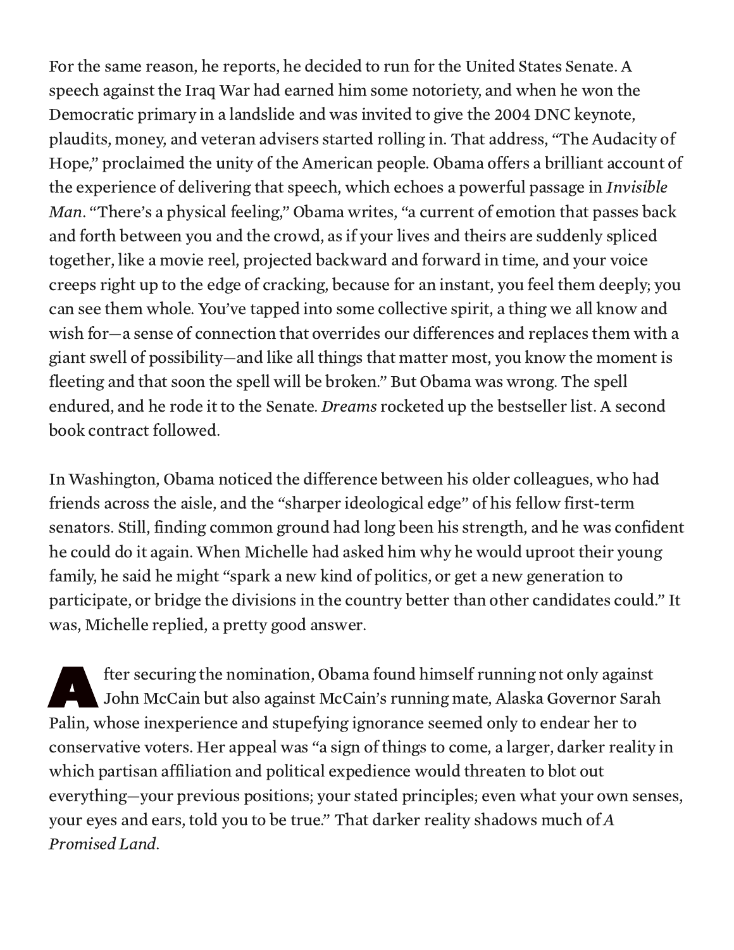For the same reason, he reports, he decided to run for the United States Senate. A speech against the Iraq War had earned him some notoriety, and when he won the Democratic primary in a landslide and was invited to give the 2004 DNC keynote, plaudits, money, and veteran advisers started rolling in. That address, "The Audacity of Hope," proclaimed the unity of the American people. Obama offers a brilliant account of the experience of delivering that speech, which echoes a powerful passage in Invisible Man. "There's a physical feeling," Obama writes, "a current of emotion that passes back and forth between you and the crowd, as if your lives and theirs are suddenly spliced together, like a movie reel, projected backward and forward in time, and your voice creeps right up to the edge of cracking, because for an instant, you feel them deeply; you can see them whole. You've tapped into some collective spirit, a thing we all know and wish for—a sense of connection that overrides our differences and replaces them with a giant swell of possibility—and like all things that matter most, you know the moment is fleeting and that soon the spell will be broken." But Obama was wrong. The spell endured, and he rode it to the Senate. Dreams rocketed up the bestseller list. A second book contract followed.

In Washington, Obama noticed the difference between his older colleagues, who had friends across the aisle, and the "sharper ideological edge" of his fellow first-term senators. Still, finding common ground had long been his strength, and he was confident he could do it again. When Michelle had asked him why he would uproot their young family, he said he might "spark a new kind of politics, or get a new generation to participate, or bridge the divisions in the country better than other candidates could." It was, Michelle replied, a pretty good answer.

**A** fter securing the nomination, Obama found himself running not only against John McCain but also against McCain's running mate, Alaska Governor Sarah Palin, whose inexperience and stupefying ignorance seemed only to endear her to conservative voters. Her appeal was "a sign of things to come, a larger, darker reality in which partisan affiliation and political expedience would threaten to blot out everything—your previous positions; your stated principles; even what your own senses, your eyes and ears, told you to be true." That darker reality shadows much of A Promised Land.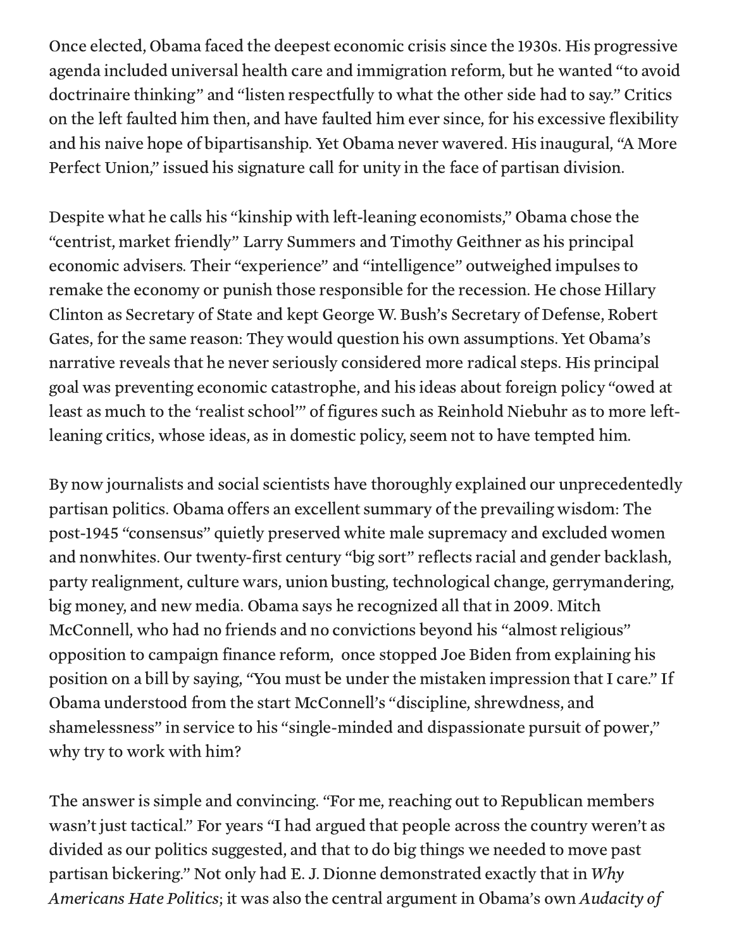Once elected, Obama faced the deepest economic crisis since the 1930s. His progressive agenda included universal health care and immigration reform, but he wanted "to avoid doctrinaire thinking" and "listen respectfully to what the other side had to say." Critics on the left faulted him then, and have faulted him ever since, for his excessive flexibility and his naive hope of bipartisanship. Yet Obama never wavered. His inaugural, "A More Perfect Union," issued his signature call for unity in the face of partisan division.

Despite what he calls his "kinship with left-leaning economists," Obama chose the "centrist, market friendly" Larry Summers and Timothy Geithner as his principal economic advisers. Their "experience" and "intelligence" outweighed impulses to remake the economy or punish those responsible for the recession. He chose Hillary Clinton as Secretary of State and kept George W. Bush's Secretary of Defense, Robert Gates, for the same reason: They would question his own assumptions. Yet Obama's narrative reveals that he never seriously considered more radical steps. His principal goal was preventing economic catastrophe, and his ideas about foreign policy "owed at least as much to the 'realist school'" of figures such as Reinhold Niebuhr as to more leftleaning critics, whose ideas, as in domestic policy, seem not to have tempted him.

By now journalists and social scientists have thoroughly explained our unprecedentedly partisan politics. Obama offers an excellent summary of the prevailing wisdom: The post-1945 "consensus" quietly preserved white male supremacy and excluded women and nonwhites. Our twenty-first century "big sort" reflects racial and gender backlash, party realignment, culture wars, union busting, technological change, gerrymandering, big money, and new media. Obama says he recognized all that in 2009. Mitch McConnell, who had no friends and no convictions beyond his "almost religious" opposition to campaign finance reform, once stopped Joe Biden from explaining his position on a bill by saying, "You must be under the mistaken impression that I care." If Obama understood from the start McConnell's "discipline, shrewdness, and shamelessness" in service to his "single-minded and dispassionate pursuit of power," why try to work with him?

The answer is simple and convincing. "For me, reaching out to Republican members wasn't just tactical." For years "I had argued that people across the country weren't as divided as our politics suggested, and that to do big things we needed to move past partisan bickering." Not only had E. J. Dionne demonstrated exactly that in Why Americans Hate Politics; it was also the central argument in Obama's own Audacity of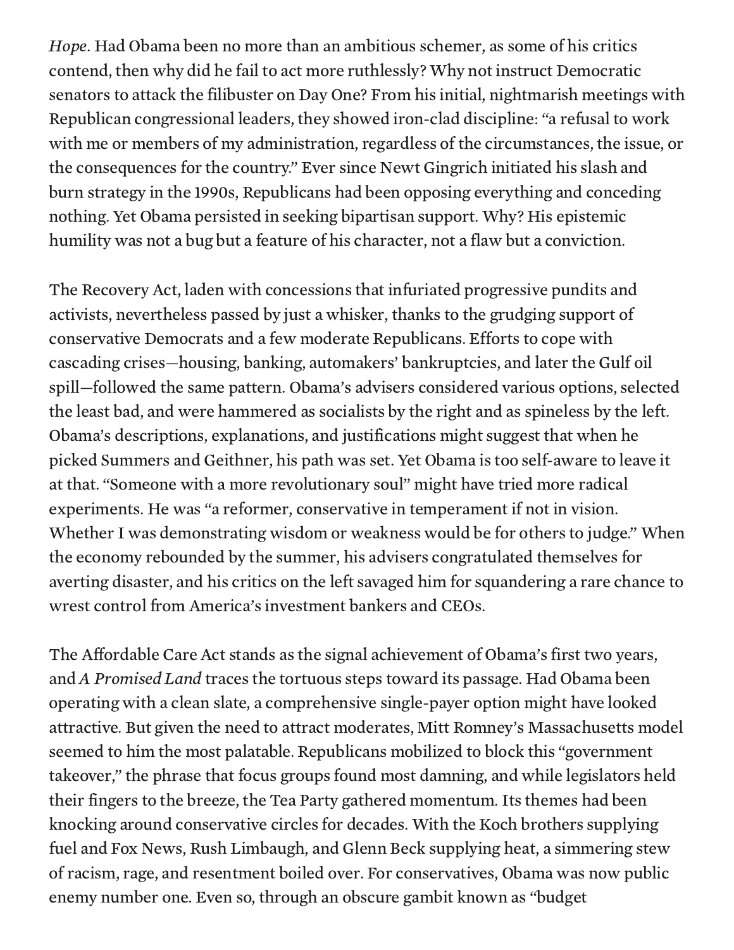Hope. Had Obama been no more than an ambitious schemer, as some of his critics contend, then why did he fail to act more ruthlessly? Why not instruct Democratic senators to attack the filibuster on Day One? From his initial, nightmarish meetings with Republican congressional leaders, they showed iron-clad discipline: "a refusal to work with me or members of my administration, regardless of the circumstances, the issue, or the consequences for the country." Ever since Newt Gingrich initiated his slash and burn strategy in the 1990s, Republicans had been opposing everything and conceding nothing. Yet Obama persisted in seeking bipartisan support. Why? His epistemic humility was not a bug but a feature of his character, not a flaw but a conviction.

The Recovery Act, laden with concessions that infuriated progressive pundits and activists, nevertheless passed by just a whisker, thanks to the grudging support of conservative Democrats and a few moderate Republicans. Efforts to cope with cascading crises—housing, banking, automakers' bankruptcies, and later the Gulf oil spill—followed the same pattern. Obama's advisers considered various options, selected the least bad, and were hammered as socialists by the right and as spineless by the left. Obama's descriptions, explanations, and justifications might suggest that when he picked Summers and Geithner, his path was set. Yet Obama is too self-aware to leave it at that. "Someone with a more revolutionary soul" might have tried more radical experiments. He was "a reformer, conservative in temperament if not in vision. Whether I was demonstrating wisdom or weakness would be for others to judge." When the economy rebounded by the summer, his advisers congratulated themselves for averting disaster, and his critics on the left savaged him for squandering a rare chance to wrest control from America's investment bankers and CEOs.

The Affordable Care Act stands as the signal achievement of Obama's first two years, and A Promised Land traces the tortuous steps toward its passage. Had Obama been operating with a clean slate, a comprehensive single-payer option might have looked attractive. But given the need to attract moderates, Mitt Romney's Massachusetts model seemed to him the most palatable. Republicans mobilized to block this "government takeover," the phrase that focus groups found most damning, and while legislators held their fingers to the breeze, the Tea Party gathered momentum. Its themes had been knocking around conservative circles for decades. With the Koch brothers supplying fuel and Fox News, Rush Limbaugh, and Glenn Beck supplying heat, a simmering stew of racism, rage, and resentment boiled over. For conservatives, Obama was now public enemy number one. Even so, through an obscure gambit known as "budget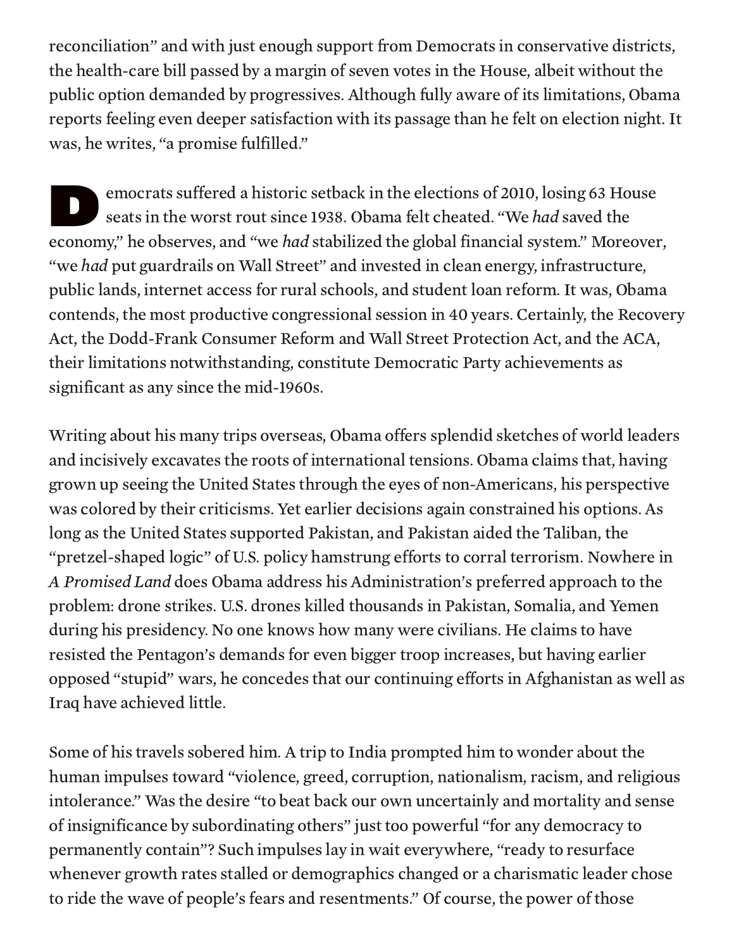reconciliation" and with just enough support from Democrats in conservative districts, the health-care bill passed by a margin of seven votes in the House, albeit without the public option demanded by progressives. Although fully aware of its limitations, Obama reports feeling even deeper satisfaction with its passage than he felt on election night. It was, he writes, "a promise fulfilled."

ended to the contract of the contract of the contract of the contract of the contract of the contract of the contract of the contract of the contract of the contract of the contract of the contract of the contract of the c emocrats suffered a historic setback in the elections of 2010, losing 63 House seats in the worst rout since 1938. Obama felt cheated. "We had saved the economy," he observes, and "we *had* stabilized the global financial system." Moreover, "we had put guardrails on Wall Street" and invested in clean energy, infrastructure, public lands, internet access for rural schools, and student loan reform. It was, Obama contends, the most productive congressional session in 40 years. Certainly, the Recovery Act, the Dodd-Frank Consumer Reform and Wall Street Protection Act, and the ACA, their limitations notwithstanding, constitute Democratic Party achievements as significant as any since the mid-1960s.

Writing about his many trips overseas, Obama offers splendid sketches of world leaders and incisively excavates the roots of international tensions. Obama claims that, having grown up seeing the United States through the eyes of non-Americans, his perspective was colored by their criticisms. Yet earlier decisions again constrained his options. As long as the United States supported Pakistan, and Pakistan aided the Taliban, the "pretzel-shaped logic" of U.S. policy hamstrung efforts to corral terrorism. Nowhere in A Promised Land does Obama address his Administration's preferred approach to the problem: drone strikes. U.S. drones killed thousands in Pakistan, Somalia, and Yemen during his presidency. No one knows how many were civilians. He claims to have resisted the Pentagon's demands for even bigger troop increases, but having earlier opposed "stupid" wars, he concedes that our continuing efforts in Afghanistan as well as Iraq have achieved little.

Some of his travels sobered him. A trip to India prompted him to wonder about the human impulses toward "violence, greed, corruption, nationalism, racism, and religious intolerance." Was the desire "to beat back our own uncertainly and mortality and sense of insignificance by subordinating others" just too powerful "for any democracy to permanently contain"? Such impulses lay in wait everywhere, "ready to resurface whenever growth rates stalled or demographics changed or a charismatic leader chose to ride the wave of people's fears and resentments." Of course, the power of those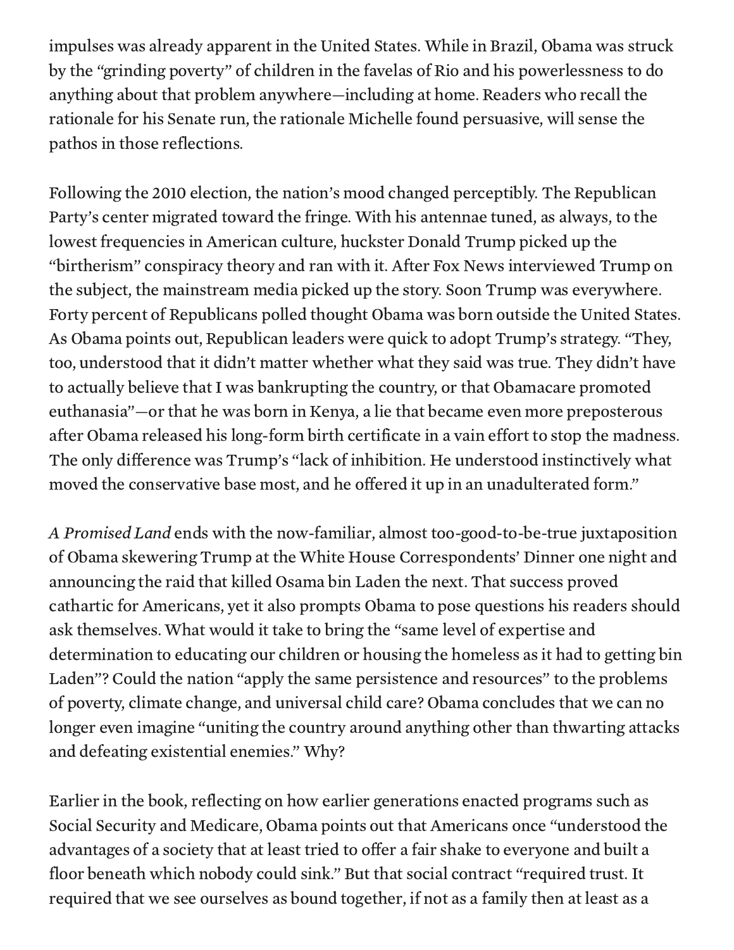impulses was already apparent in the United States. While in Brazil, Obama was struck by the "grinding poverty" of children in the favelas of Rio and his powerlessness to do anything about that problem anywhere—including at home. Readers who recall the rationale for his Senate run, the rationale Michelle found persuasive, will sense the pathos in those reflections.

Following the 2010 election, the nation's mood changed perceptibly. The Republican Party's center migrated toward the fringe. With his antennae tuned, as always, to the lowest frequencies in American culture, huckster Donald Trump picked up the "birtherism" conspiracy theory and ran with it. After Fox News interviewed Trump on the subject, the mainstream media picked up the story. Soon Trump was everywhere. Forty percent of Republicans polled thought Obama was born outside the United States. As Obama points out, Republican leaders were quick to adopt Trump's strategy. "They, too, understood that it didn't matter whether what they said was true. They didn't have to actually believe that I was bankrupting the country, or that Obamacare promoted euthanasia"—or that he was born in Kenya, a lie that became even more preposterous after Obama released his long-form birth certificate in a vain effort to stop the madness. The only difference was Trump's "lack of inhibition. He understood instinctively what moved the conservative base most, and he offered it up in an unadulterated form."

A Promised Land ends with the now-familiar, almost too-good-to-be-true juxtaposition of Obama skewering Trump at the White House Correspondents' Dinner one night and announcing the raid that killed Osama bin Laden the next. That success proved cathartic for Americans, yet it also prompts Obama to pose questions his readers should ask themselves. What would it take to bring the "same level of expertise and determination to educating our children or housing the homeless as it had to getting bin Laden"? Could the nation "apply the same persistence and resources" to the problems of poverty, climate change, and universal child care? Obama concludes that we can no longer even imagine "uniting the country around anything other than thwarting attacks and defeating existential enemies." Why?

Earlier in the book, reflecting on how earlier generations enacted programs such as Social Security and Medicare, Obama points out that Americans once "understood the advantages of a society that at least tried to offer a fair shake to everyone and built a floor beneath which nobody could sink." But that social contract "required trust. It required that we see ourselves as bound together, if not as a family then at least as a